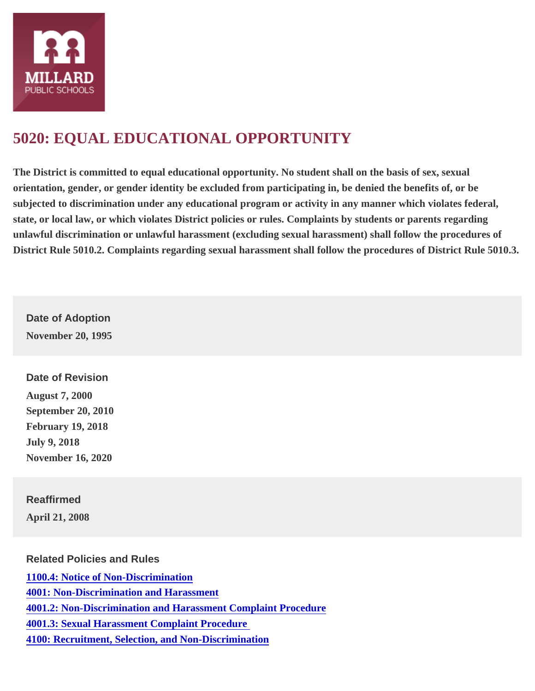## [5020: EQUAL EDUCATIONAL OPPORTUNITY](https://www.mpsomaha.org/board/policies/5020-equal-educational-opportunity)

The District is committed to equal educational opportunity. No student shall on the basis of sex, sexual orientation, gender, or gender identity be excluded from participating in, be denied the benefits of, or be subjected to discrimination under any educational program or activity in any manner which violates federal, state, or local law, or which violates District policies or rules. Complaints by students or parents regarding unlawful discrimination or unlawful harassment (excluding sexual harassment) shall follow the procedures of District Rule 5010.2. Complaints regarding sexual harassment shall follow the procedures of District Rule 5010.3.

Date of Adoption November 20, 1995

Date of Revision August 7, 2000 September 20, 2010 February 19, 2018 July 9, 2018 November 16, 2020

Reaffirmed April 21, 2008

Related Policies and Rules [1100.4: Notice of Non-Discrimination](https://www.mpsomaha.org/board/policies/11004-notice-non-discrimination) [4001: Non-Discrimination and Harassmen](https://www.mpsomaha.org/board/policies/4001-non-discrimination-and-harassment)t [4001.2: Non-Discrimination and Harassment Complaint Procedur](https://www.mpsomaha.org/board/policies/40012-non-discrimination-and-harassment-complaint-procedure)e [4001.3: Sexual Harassment Complaint Procedur](https://www.mpsomaha.org/board/policies/40013-sexual-harassment-complaint-procedure)e [4100: Recruitment, Selection, and Non-Discriminatio](https://www.mpsomaha.org/board/policies/4100-recruitment-selection-and-non-discrimination)n